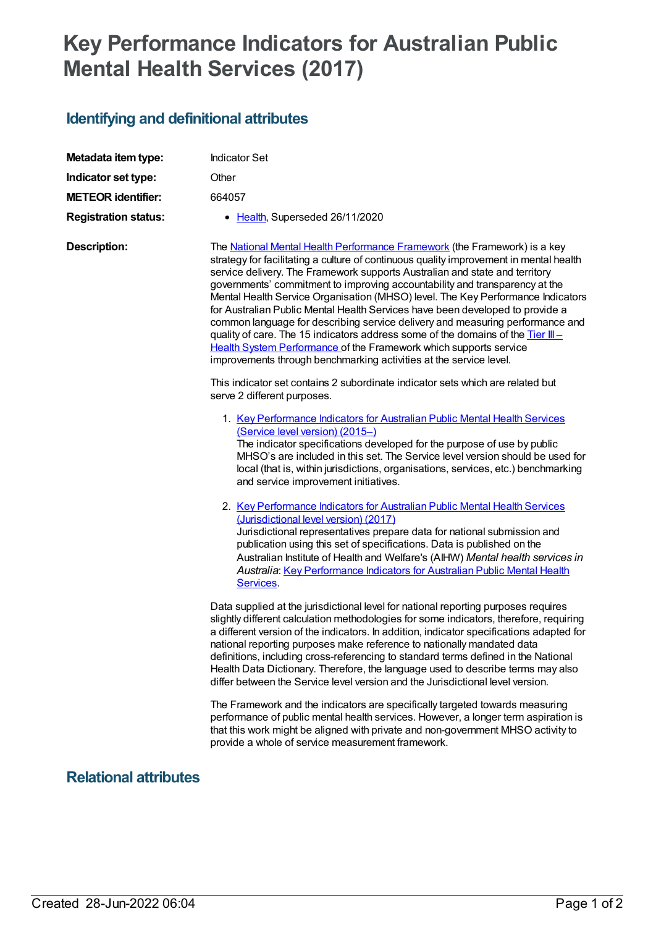## **Key Performance Indicators for Australian Public Mental Health Services (2017)**

## **Identifying and definitional attributes**

| Metadata item type:         | <b>Indicator Set</b>                                                                                                                                                                                                                                                                                                                                                                                                                                                                                                                                                                                                                                                                                                                                                                                                 |
|-----------------------------|----------------------------------------------------------------------------------------------------------------------------------------------------------------------------------------------------------------------------------------------------------------------------------------------------------------------------------------------------------------------------------------------------------------------------------------------------------------------------------------------------------------------------------------------------------------------------------------------------------------------------------------------------------------------------------------------------------------------------------------------------------------------------------------------------------------------|
| Indicator set type:         | Other                                                                                                                                                                                                                                                                                                                                                                                                                                                                                                                                                                                                                                                                                                                                                                                                                |
| <b>METEOR identifier:</b>   | 664057                                                                                                                                                                                                                                                                                                                                                                                                                                                                                                                                                                                                                                                                                                                                                                                                               |
| <b>Registration status:</b> | • Health, Superseded 26/11/2020                                                                                                                                                                                                                                                                                                                                                                                                                                                                                                                                                                                                                                                                                                                                                                                      |
| <b>Description:</b>         | The National Mental Health Performance Framework (the Framework) is a key<br>strategy for facilitating a culture of continuous quality improvement in mental health<br>service delivery. The Framework supports Australian and state and territory<br>governments' commitment to improving accountability and transparency at the<br>Mental Health Service Organisation (MHSO) level. The Key Performance Indicators<br>for Australian Public Mental Health Services have been developed to provide a<br>common language for describing service delivery and measuring performance and<br>quality of care. The 15 indicators address some of the domains of the Tier III-<br>Health System Performance of the Framework which supports service<br>improvements through benchmarking activities at the service level. |
|                             | This indicator set contains 2 subordinate indicator sets which are related but<br>serve 2 different purposes.                                                                                                                                                                                                                                                                                                                                                                                                                                                                                                                                                                                                                                                                                                        |
|                             | 1. Key Performance Indicators for Australian Public Mental Health Services<br>(Service level version) (2015-)<br>The indicator specifications developed for the purpose of use by public<br>MHSO's are included in this set. The Service level version should be used for<br>local (that is, within jurisdictions, organisations, services, etc.) benchmarking<br>and service improvement initiatives.                                                                                                                                                                                                                                                                                                                                                                                                               |
|                             | 2. Key Performance Indicators for Australian Public Mental Health Services<br>(Jurisdictional level version) (2017)<br>Jurisdictional representatives prepare data for national submission and<br>publication using this set of specifications. Data is published on the<br>Australian Institute of Health and Welfare's (AIHW) Mental health services in<br>Australia: Key Performance Indicators for Australian Public Mental Health<br>Services.                                                                                                                                                                                                                                                                                                                                                                  |
|                             | Data supplied at the jurisdictional level for national reporting purposes requires<br>slightly different calculation methodologies for some indicators, therefore, requiring<br>a different version of the indicators. In addition, indicator specifications adapted for<br>national reporting purposes make reference to nationally mandated data<br>definitions, including cross-referencing to standard terms defined in the National<br>Health Data Dictionary. Therefore, the language used to describe terms may also<br>differ between the Service level version and the Jurisdictional level version.                                                                                                                                                                                                        |
|                             | The Framework and the indicators are specifically targeted towards measuring<br>performance of public mental health services. However, a longer term aspiration is<br>that this work might be aligned with private and non-government MHSO activity to<br>provide a whole of service measurement framework.                                                                                                                                                                                                                                                                                                                                                                                                                                                                                                          |

## **Relational attributes**